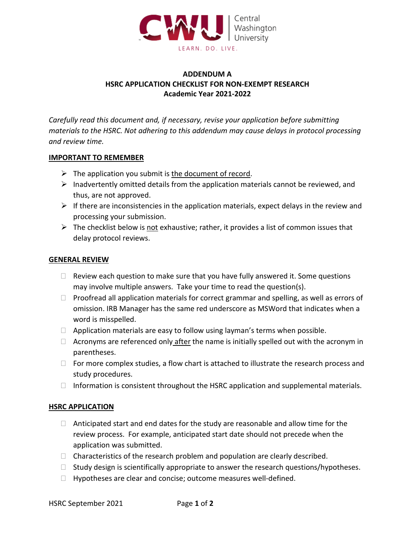

# **ADDENDUM A HSRC APPLICATION CHECKLIST FOR NON-EXEMPT RESEARCH Academic Year 2021-2022**

*Carefully read this document and, if necessary, revise your application before submitting materials to the HSRC. Not adhering to this addendum may cause delays in protocol processing and review time.*

#### **IMPORTANT TO REMEMBER**

- $\triangleright$  The application you submit is the document of record.
- $\triangleright$  Inadvertently omitted details from the application materials cannot be reviewed, and thus, are not approved.
- $\triangleright$  If there are inconsistencies in the application materials, expect delays in the review and processing your submission.
- $\triangleright$  The checklist below is not exhaustive; rather, it provides a list of common issues that delay protocol reviews.

### **GENERAL REVIEW**

- $\Box$  Review each question to make sure that you have fully answered it. Some questions may involve multiple answers. Take your time to read the question(s).
- $\Box$  Proofread all application materials for correct grammar and spelling, as well as errors of omission. IRB Manager has the same red underscore as MSWord that indicates when a word is misspelled.
- $\Box$  Application materials are easy to follow using layman's terms when possible.
- $\Box$  Acronyms are referenced only after the name is initially spelled out with the acronym in parentheses.
- $\Box$  For more complex studies, a flow chart is attached to illustrate the research process and study procedures.
- $\Box$  Information is consistent throughout the HSRC application and supplemental materials.

### **HSRC APPLICATION**

- $\Box$  Anticipated start and end dates for the study are reasonable and allow time for the review process. For example, anticipated start date should not precede when the application was submitted.
- $\Box$  Characteristics of the research problem and population are clearly described.
- $\Box$  Study design is scientifically appropriate to answer the research questions/hypotheses.
- $\Box$  Hypotheses are clear and concise; outcome measures well-defined.